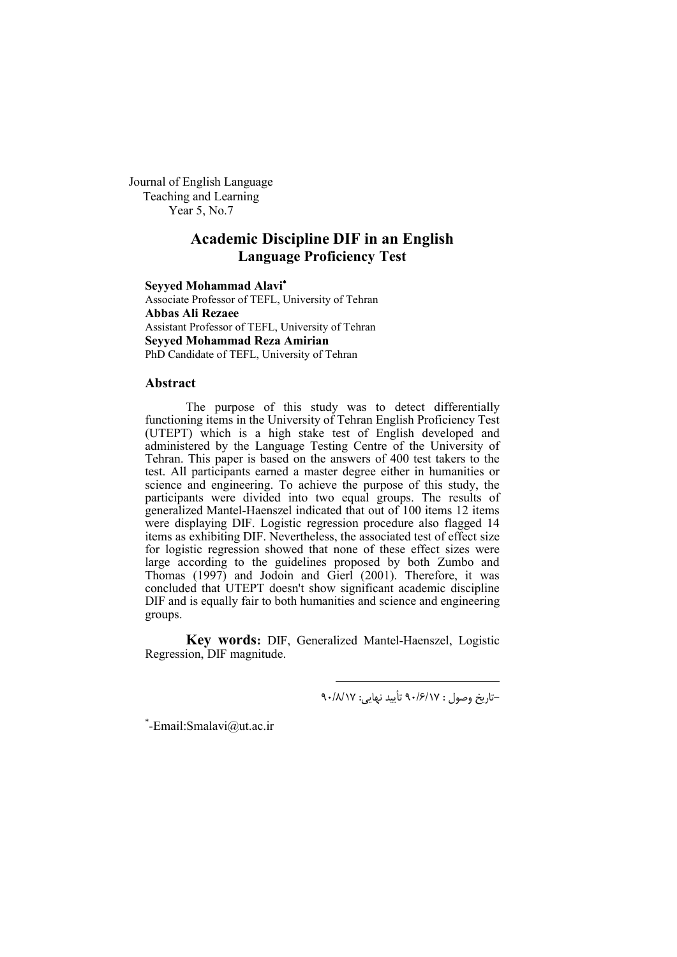Journal of English Language Teaching and Learning Year 5, No.7

# **Academic Discipline DIF in an English Language Proficiency Test**

**Seyyed Mohammad Alavi** Associate Professor of TEFL, University of Tehran **Abbas Ali Rezaee** Assistant Professor of TEFL, University of Tehran **Seyyed Mohammad Reza Amirian** PhD Candidate of TEFL, University of Tehran

#### **Abstract**

The purpose of this study was to detect differentially functioning items in the University of Tehran English Proficiency Test (UTEPT) which is a high stake test of English developed and administered by the Language Testing Centre of the University of Tehran. This paper is based on the answers of 400 test takers to the test. All participants earned a master degree either in humanities or science and engineering. To achieve the purpose of this study, the participants were divided into two equal groups. The results of generalized Mantel-Haenszel indicated that out of 100 items 12 items were displaying DIF. Logistic regression procedure also flagged 14 items as exhibiting DIF. Nevertheless, the associated test of effect size for logistic regression showed that none of these effect sizes were large according to the guidelines proposed by both Zumbo and Thomas (1997) and Jodoin and Gierl (2001). Therefore, it was concluded that UTEPT doesn't show significant academic discipline DIF and is equally fair to both humanities and science and engineering groups.

**Key words:** DIF, Generalized Mantel-Haenszel, Logistic Regression, DIF magnitude.

1

-تاریخ وصول : 17 /6/ 90 تأیید نهایی: 17 /8/ 90

\* -Email:Smalavi@ut.ac.ir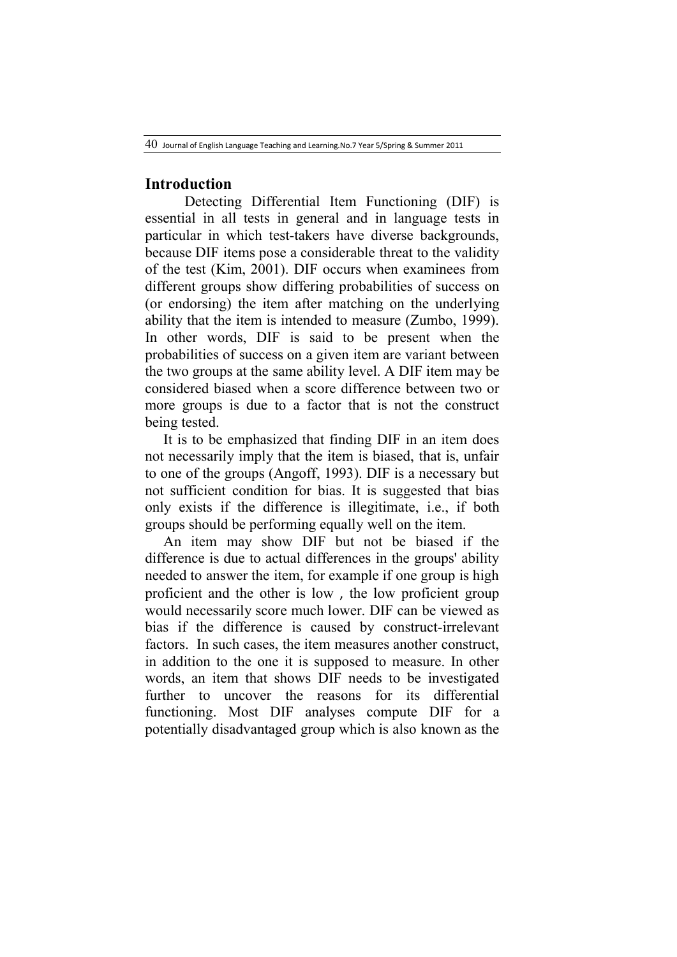## **Introduction**

 Detecting Differential Item Functioning (DIF) is essential in all tests in general and in language tests in particular in which test-takers have diverse backgrounds, because DIF items pose a considerable threat to the validity of the test (Kim, 2001). DIF occurs when examinees from different groups show differing probabilities of success on (or endorsing) the item after matching on the underlying ability that the item is intended to measure (Zumbo, 1999). In other words, DIF is said to be present when the probabilities of success on a given item are variant between the two groups at the same ability level. A DIF item may be considered biased when a score difference between two or more groups is due to a factor that is not the construct being tested.

 It is to be emphasized that finding DIF in an item does not necessarily imply that the item is biased, that is, unfair to one of the groups (Angoff, 1993). DIF is a necessary but not sufficient condition for bias. It is suggested that bias only exists if the difference is illegitimate, i.e., if both groups should be performing equally well on the item.

 An item may show DIF but not be biased if the difference is due to actual differences in the groups' ability needed to answer the item, for example if one group is high proficient and the other is low , the low proficient group would necessarily score much lower. DIF can be viewed as bias if the difference is caused by construct-irrelevant factors. In such cases, the item measures another construct, in addition to the one it is supposed to measure. In other words, an item that shows DIF needs to be investigated further to uncover the reasons for its differential functioning. Most DIF analyses compute DIF for a potentially disadvantaged group which is also known as the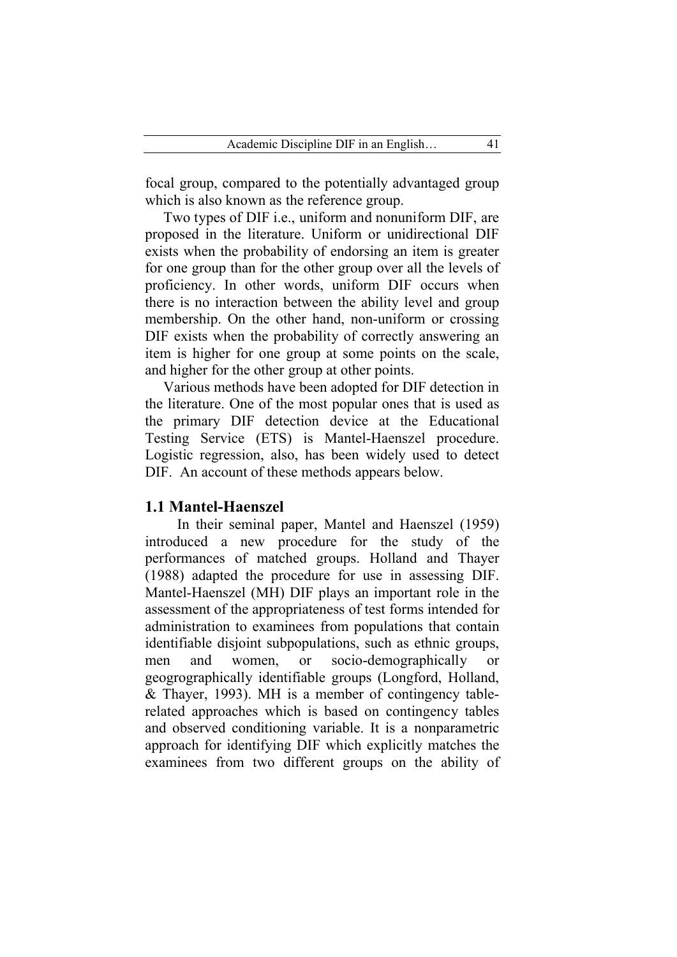focal group, compared to the potentially advantaged group which is also known as the reference group.

 Two types of DIF i.e., uniform and nonuniform DIF, are proposed in the literature. Uniform or unidirectional DIF exists when the probability of endorsing an item is greater for one group than for the other group over all the levels of proficiency. In other words, uniform DIF occurs when there is no interaction between the ability level and group membership. On the other hand, non-uniform or crossing DIF exists when the probability of correctly answering an item is higher for one group at some points on the scale, and higher for the other group at other points.

 Various methods have been adopted for DIF detection in the literature. One of the most popular ones that is used as the primary DIF detection device at the Educational Testing Service (ETS) is Mantel-Haenszel procedure. Logistic regression, also, has been widely used to detect DIF. An account of these methods appears below.

### **1.1 Mantel-Haenszel**

In their seminal paper, Mantel and Haenszel (1959) introduced a new procedure for the study of the performances of matched groups. Holland and Thayer (1988) adapted the procedure for use in assessing DIF. Mantel-Haenszel (MH) DIF plays an important role in the assessment of the appropriateness of test forms intended for administration to examinees from populations that contain identifiable disjoint subpopulations, such as ethnic groups, men and women, or socio-demographically geogrographically identifiable groups (Longford, Holland, & Thayer, 1993). MH is a member of contingency tablerelated approaches which is based on contingency tables and observed conditioning variable. It is a nonparametric approach for identifying DIF which explicitly matches the examinees from two different groups on the ability of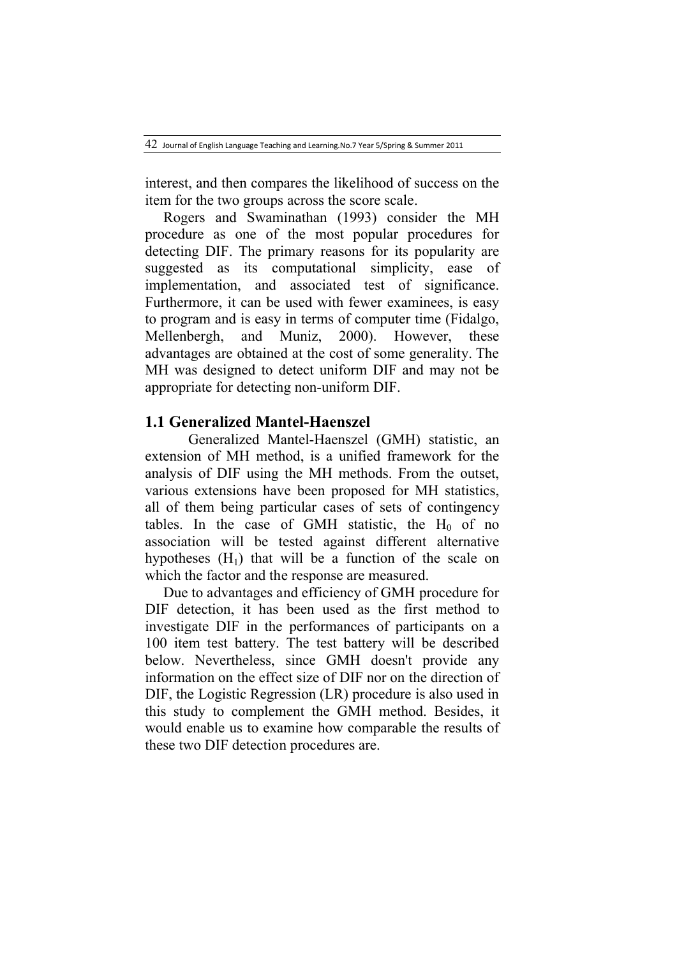interest, and then compares the likelihood of success on the item for the two groups across the score scale.

 Rogers and Swaminathan (1993) consider the MH procedure as one of the most popular procedures for detecting DIF. The primary reasons for its popularity are suggested as its computational simplicity, ease of implementation, and associated test of significance. Furthermore, it can be used with fewer examinees, is easy to program and is easy in terms of computer time (Fidalgo, Mellenbergh, and Muniz, 2000). However, these advantages are obtained at the cost of some generality. The MH was designed to detect uniform DIF and may not be appropriate for detecting non-uniform DIF.

### **1.1 Generalized Mantel-Haenszel**

 Generalized Mantel-Haenszel (GMH) statistic, an extension of MH method, is a unified framework for the analysis of DIF using the MH methods. From the outset, various extensions have been proposed for MH statistics, all of them being particular cases of sets of contingency tables. In the case of GMH statistic, the  $H_0$  of no association will be tested against different alternative hypotheses  $(H_1)$  that will be a function of the scale on which the factor and the response are measured.

 Due to advantages and efficiency of GMH procedure for DIF detection, it has been used as the first method to investigate DIF in the performances of participants on a 100 item test battery. The test battery will be described below. Nevertheless, since GMH doesn't provide any information on the effect size of DIF nor on the direction of DIF, the Logistic Regression (LR) procedure is also used in this study to complement the GMH method. Besides, it would enable us to examine how comparable the results of these two DIF detection procedures are.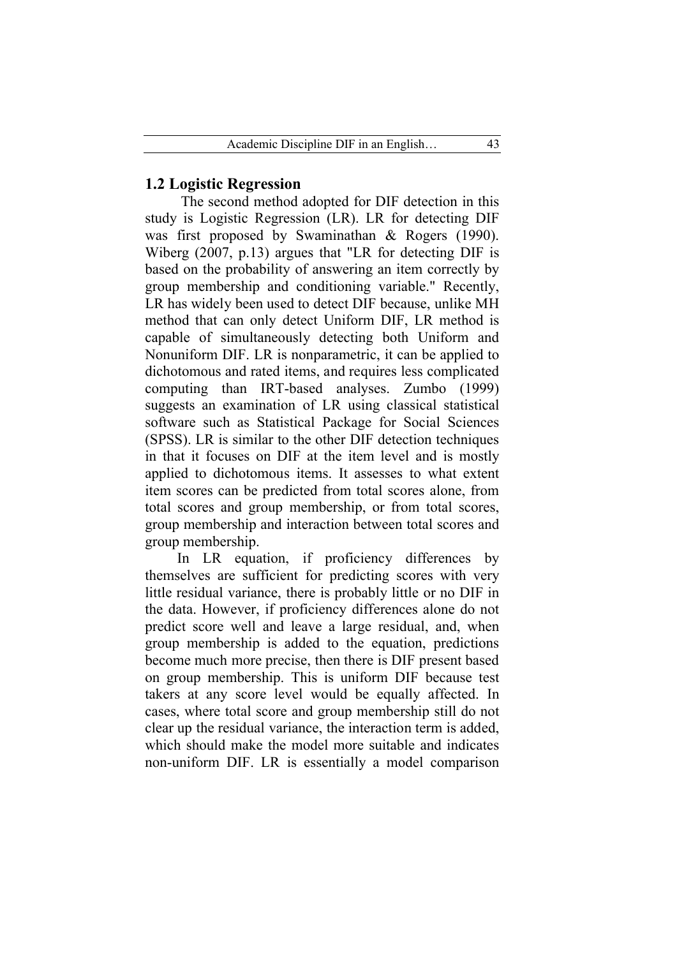### **1.2 Logistic Regression**

The second method adopted for DIF detection in this study is Logistic Regression (LR). LR for detecting DIF was first proposed by Swaminathan & Rogers (1990). Wiberg (2007, p.13) argues that "LR for detecting DIF is based on the probability of answering an item correctly by group membership and conditioning variable." Recently, LR has widely been used to detect DIF because, unlike MH method that can only detect Uniform DIF, LR method is capable of simultaneously detecting both Uniform and Nonuniform DIF. LR is nonparametric, it can be applied to dichotomous and rated items, and requires less complicated computing than IRT-based analyses. Zumbo (1999) suggests an examination of LR using classical statistical software such as Statistical Package for Social Sciences (SPSS). LR is similar to the other DIF detection techniques in that it focuses on DIF at the item level and is mostly applied to dichotomous items. It assesses to what extent item scores can be predicted from total scores alone, from total scores and group membership, or from total scores, group membership and interaction between total scores and group membership.

In LR equation, if proficiency differences by themselves are sufficient for predicting scores with very little residual variance, there is probably little or no DIF in the data. However, if proficiency differences alone do not predict score well and leave a large residual, and, when group membership is added to the equation, predictions become much more precise, then there is DIF present based on group membership. This is uniform DIF because test takers at any score level would be equally affected. In cases, where total score and group membership still do not clear up the residual variance, the interaction term is added, which should make the model more suitable and indicates non-uniform DIF. LR is essentially a model comparison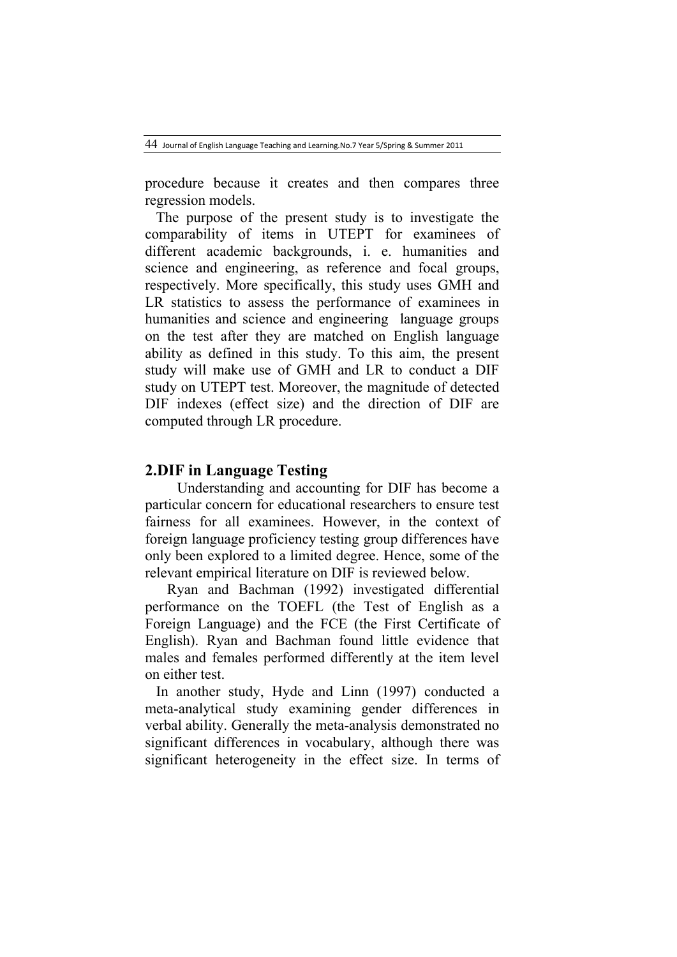44 Journal of English Language Teaching and Learning.No.<sup>7</sup> Year 5/Spring & Summer 2011

procedure because it creates and then compares three regression models.

 The purpose of the present study is to investigate the comparability of items in UTEPT for examinees of different academic backgrounds, i. e. humanities and science and engineering, as reference and focal groups, respectively. More specifically, this study uses GMH and LR statistics to assess the performance of examinees in humanities and science and engineering language groups on the test after they are matched on English language ability as defined in this study. To this aim, the present study will make use of GMH and LR to conduct a DIF study on UTEPT test. Moreover, the magnitude of detected DIF indexes (effect size) and the direction of DIF are computed through LR procedure.

## **2.DIF in Language Testing**

Understanding and accounting for DIF has become a particular concern for educational researchers to ensure test fairness for all examinees. However, in the context of foreign language proficiency testing group differences have only been explored to a limited degree. Hence, some of the relevant empirical literature on DIF is reviewed below.

 Ryan and Bachman (1992) investigated differential performance on the TOEFL (the Test of English as a Foreign Language) and the FCE (the First Certificate of English). Ryan and Bachman found little evidence that males and females performed differently at the item level on either test.

In another study, Hyde and Linn (1997) conducted a meta-analytical study examining gender differences in verbal ability. Generally the meta-analysis demonstrated no significant differences in vocabulary, although there was significant heterogeneity in the effect size. In terms of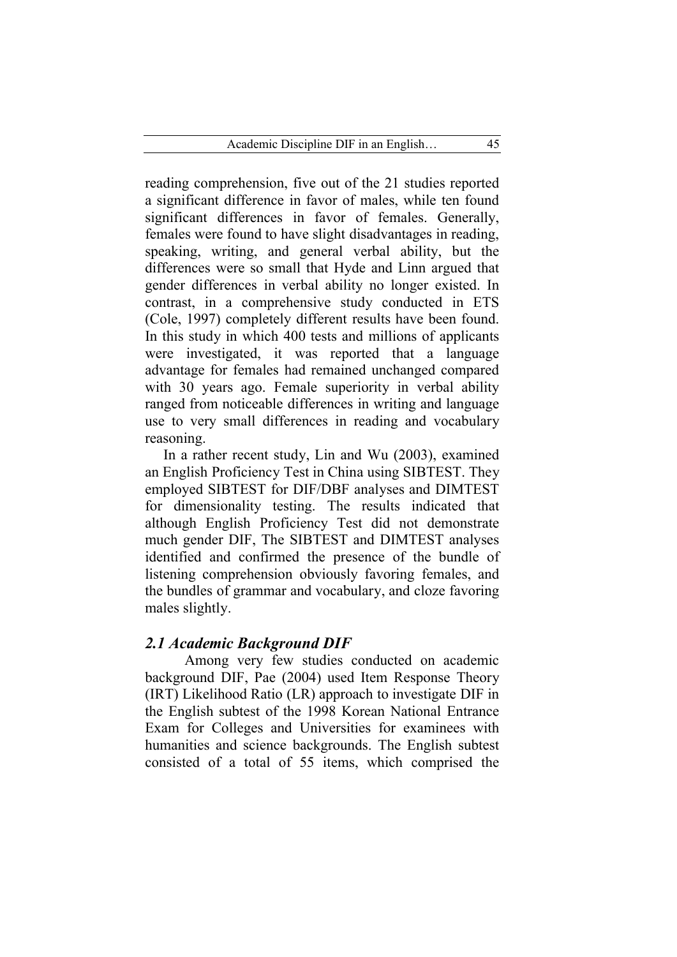reading comprehension, five out of the 21 studies reported a significant difference in favor of males, while ten found significant differences in favor of females. Generally, females were found to have slight disadvantages in reading, speaking, writing, and general verbal ability, but the differences were so small that Hyde and Linn argued that gender differences in verbal ability no longer existed. In contrast, in a comprehensive study conducted in ETS (Cole, 1997) completely different results have been found. In this study in which 400 tests and millions of applicants were investigated, it was reported that a language advantage for females had remained unchanged compared with 30 years ago. Female superiority in verbal ability ranged from noticeable differences in writing and language use to very small differences in reading and vocabulary reasoning.

 In a rather recent study, Lin and Wu (2003), examined an English Proficiency Test in China using SIBTEST. They employed SIBTEST for DIF/DBF analyses and DIMTEST for dimensionality testing. The results indicated that although English Proficiency Test did not demonstrate much gender DIF, The SIBTEST and DIMTEST analyses identified and confirmed the presence of the bundle of listening comprehension obviously favoring females, and the bundles of grammar and vocabulary, and cloze favoring males slightly.

## *2.1 Academic Background DIF*

 Among very few studies conducted on academic background DIF, Pae (2004) used Item Response Theory (IRT) Likelihood Ratio (LR) approach to investigate DIF in the English subtest of the 1998 Korean National Entrance Exam for Colleges and Universities for examinees with humanities and science backgrounds. The English subtest consisted of a total of 55 items, which comprised the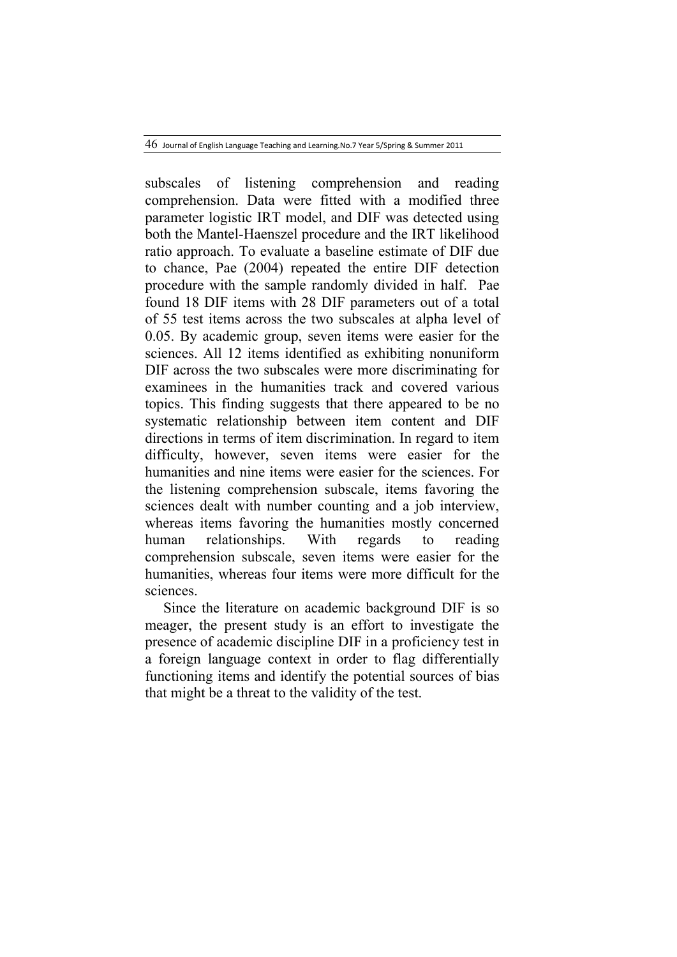46 Journal of English Language Teaching and Learning.No.<sup>7</sup> Year 5/Spring & Summer 2011

subscales of listening comprehension and reading comprehension. Data were fitted with a modified three parameter logistic IRT model, and DIF was detected using both the Mantel-Haenszel procedure and the IRT likelihood ratio approach. To evaluate a baseline estimate of DIF due to chance, Pae (2004) repeated the entire DIF detection procedure with the sample randomly divided in half. Pae found 18 DIF items with 28 DIF parameters out of a total of 55 test items across the two subscales at alpha level of 0.05. By academic group, seven items were easier for the sciences. All 12 items identified as exhibiting nonuniform DIF across the two subscales were more discriminating for examinees in the humanities track and covered various topics. This finding suggests that there appeared to be no systematic relationship between item content and DIF directions in terms of item discrimination. In regard to item difficulty, however, seven items were easier for the humanities and nine items were easier for the sciences. For the listening comprehension subscale, items favoring the sciences dealt with number counting and a job interview, whereas items favoring the humanities mostly concerned human relationships. With regards to reading comprehension subscale, seven items were easier for the humanities, whereas four items were more difficult for the sciences.

 Since the literature on academic background DIF is so meager, the present study is an effort to investigate the presence of academic discipline DIF in a proficiency test in a foreign language context in order to flag differentially functioning items and identify the potential sources of bias that might be a threat to the validity of the test.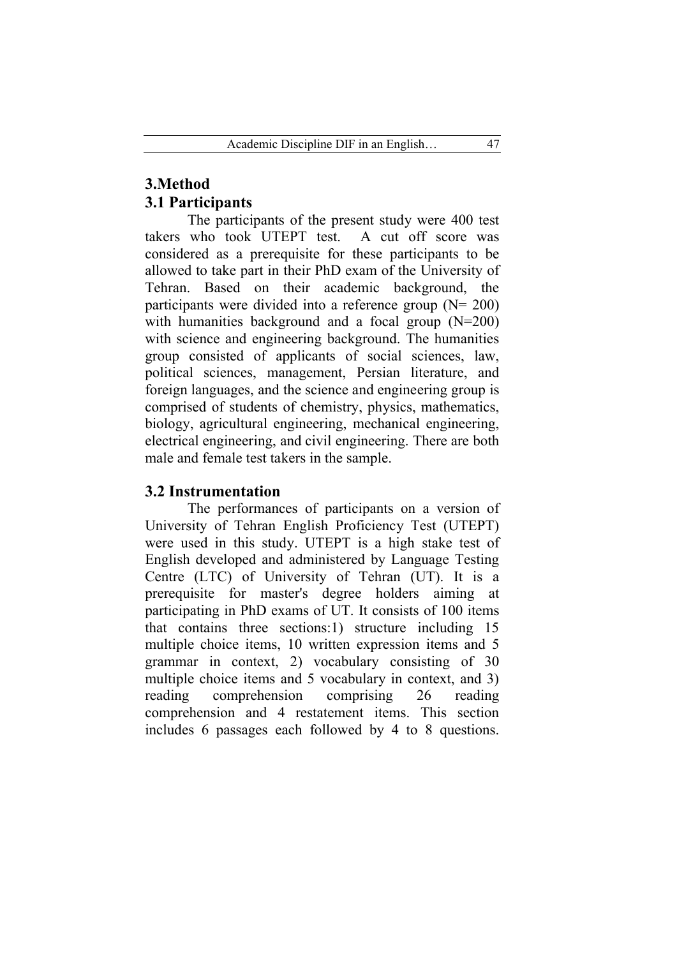# **3.Method 3.1 Participants**

 The participants of the present study were 400 test takers who took UTEPT test. A cut off score was considered as a prerequisite for these participants to be allowed to take part in their PhD exam of the University of Tehran. Based on their academic background, the participants were divided into a reference group  $(N= 200)$ with humanities background and a focal group (N=200) with science and engineering background. The humanities group consisted of applicants of social sciences, law, political sciences, management, Persian literature, and foreign languages, and the science and engineering group is comprised of students of chemistry, physics, mathematics, biology, agricultural engineering, mechanical engineering, electrical engineering, and civil engineering. There are both male and female test takers in the sample.

# **3.2 Instrumentation**

 The performances of participants on a version of University of Tehran English Proficiency Test (UTEPT) were used in this study. UTEPT is a high stake test of English developed and administered by Language Testing Centre (LTC) of University of Tehran (UT). It is a prerequisite for master's degree holders aiming at participating in PhD exams of UT. It consists of 100 items that contains three sections:1) structure including 15 multiple choice items, 10 written expression items and 5 grammar in context, 2) vocabulary consisting of 30 multiple choice items and 5 vocabulary in context, and 3) reading comprehension comprising 26 reading comprehension and 4 restatement items. This section includes 6 passages each followed by 4 to 8 questions.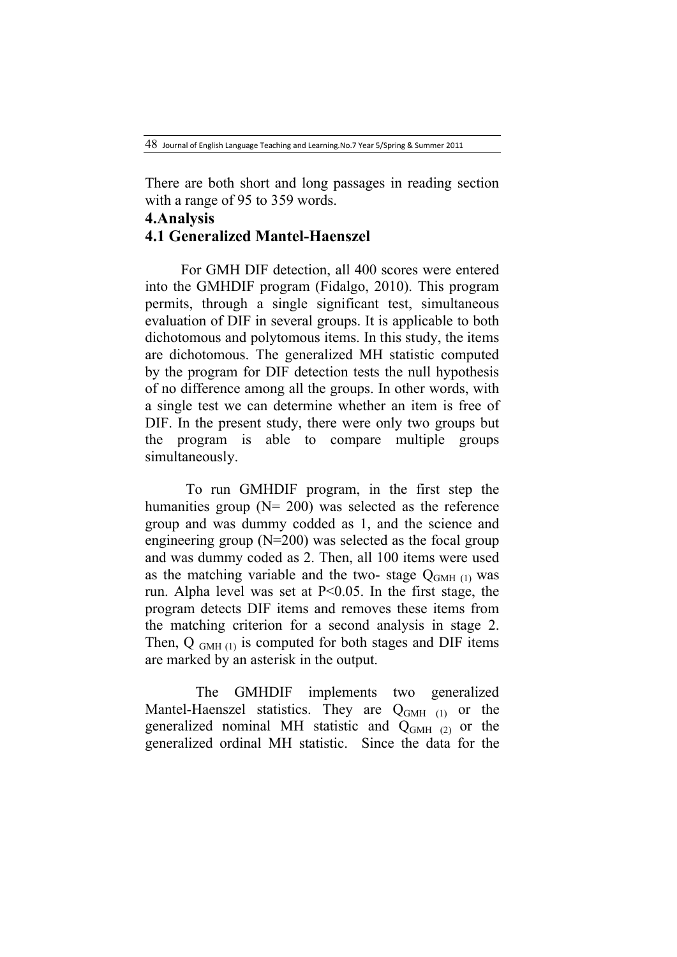48 Journal of English Language Teaching and Learning.No.<sup>7</sup> Year 5/Spring & Summer 2011

There are both short and long passages in reading section with a range of 95 to 359 words.

# **4.Analysis 4.1 Generalized Mantel-Haenszel**

For GMH DIF detection, all 400 scores were entered into the GMHDIF program (Fidalgo, 2010). This program permits, through a single significant test, simultaneous evaluation of DIF in several groups. It is applicable to both dichotomous and polytomous items. In this study, the items are dichotomous. The generalized MH statistic computed by the program for DIF detection tests the null hypothesis of no difference among all the groups. In other words, with a single test we can determine whether an item is free of DIF. In the present study, there were only two groups but the program is able to compare multiple groups simultaneously.

To run GMHDIF program, in the first step the humanities group  $(N= 200)$  was selected as the reference group and was dummy codded as 1, and the science and engineering group  $(N=200)$  was selected as the focal group and was dummy coded as 2. Then, all 100 items were used as the matching variable and the two- stage  $Q<sub>GMH (1)</sub>$  was run. Alpha level was set at  $P<0.05$ . In the first stage, the program detects DIF items and removes these items from the matching criterion for a second analysis in stage 2. Then,  $Q_{GMH (1)}$  is computed for both stages and DIF items are marked by an asterisk in the output.

 The GMHDIF implements two generalized Mantel-Haenszel statistics. They are  $Q<sub>GMH</sub>$  (1) or the generalized nominal MH statistic and  $Q<sub>GMH</sub> (2)$  or the generalized ordinal MH statistic. Since the data for the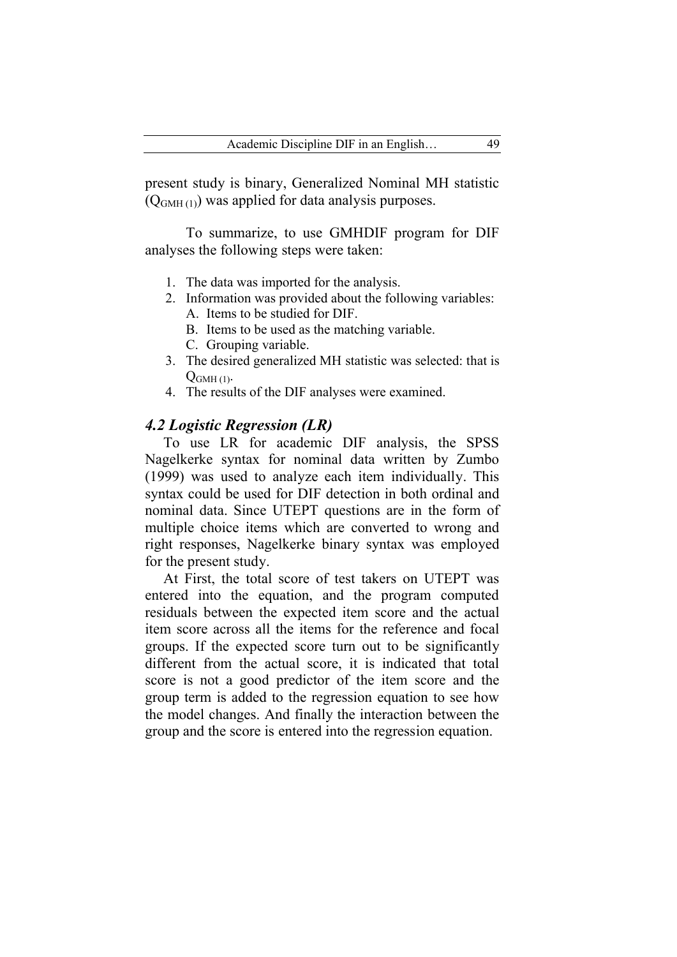present study is binary, Generalized Nominal MH statistic  $(Q_{GMH (1)})$  was applied for data analysis purposes.

 To summarize, to use GMHDIF program for DIF analyses the following steps were taken:

- 1. The data was imported for the analysis.
- 2. Information was provided about the following variables: A. Items to be studied for DIF.
	- B. Items to be used as the matching variable.
	- C. Grouping variable.
- 3. The desired generalized MH statistic was selected: that is  $Q_{GMH(1)}$ .
- 4. The results of the DIF analyses were examined.

### *4.2 Logistic Regression (LR)*

 To use LR for academic DIF analysis, the SPSS Nagelkerke syntax for nominal data written by Zumbo (1999) was used to analyze each item individually. This syntax could be used for DIF detection in both ordinal and nominal data. Since UTEPT questions are in the form of multiple choice items which are converted to wrong and right responses, Nagelkerke binary syntax was employed for the present study.

 At First, the total score of test takers on UTEPT was entered into the equation, and the program computed residuals between the expected item score and the actual item score across all the items for the reference and focal groups. If the expected score turn out to be significantly different from the actual score, it is indicated that total score is not a good predictor of the item score and the group term is added to the regression equation to see how the model changes. And finally the interaction between the group and the score is entered into the regression equation.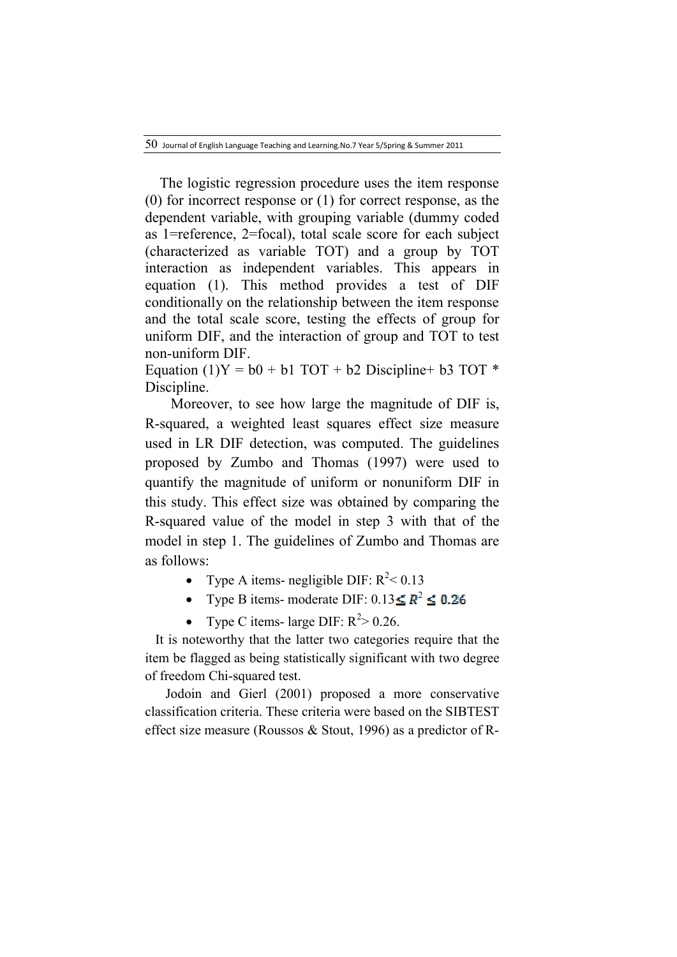$50$  Journal of English Language Teaching and Learning.No.7 Year 5/Spring & Summer 2011

 The logistic regression procedure uses the item response (0) for incorrect response or (1) for correct response, as the dependent variable, with grouping variable (dummy coded as 1=reference, 2=focal), total scale score for each subject (characterized as variable TOT) and a group by TOT interaction as independent variables. This appears in equation (1). This method provides a test of DIF conditionally on the relationship between the item response and the total scale score, testing the effects of group for uniform DIF, and the interaction of group and TOT to test non-uniform DIF.

Equation (1)Y =  $b0 + b1$  TOT +  $b2$  Discipline +  $b3$  TOT \* Discipline.

 Moreover, to see how large the magnitude of DIF is, R-squared, a weighted least squares effect size measure used in LR DIF detection, was computed. The guidelines proposed by Zumbo and Thomas (1997) were used to quantify the magnitude of uniform or nonuniform DIF in this study. This effect size was obtained by comparing the R-squared value of the model in step 3 with that of the model in step 1. The guidelines of Zumbo and Thomas are as follows:

- Type A items- negligible DIF:  $R^2 < 0.13$
- Type B items- moderate DIF:  $0.13 \le R^2 \le 0.26$
- Type C items- large DIF:  $R^2 > 0.26$ .

 It is noteworthy that the latter two categories require that the item be flagged as being statistically significant with two degree of freedom Chi-squared test.

 Jodoin and Gierl (2001) proposed a more conservative classification criteria. These criteria were based on the SIBTEST effect size measure (Roussos & Stout, 1996) as a predictor of R-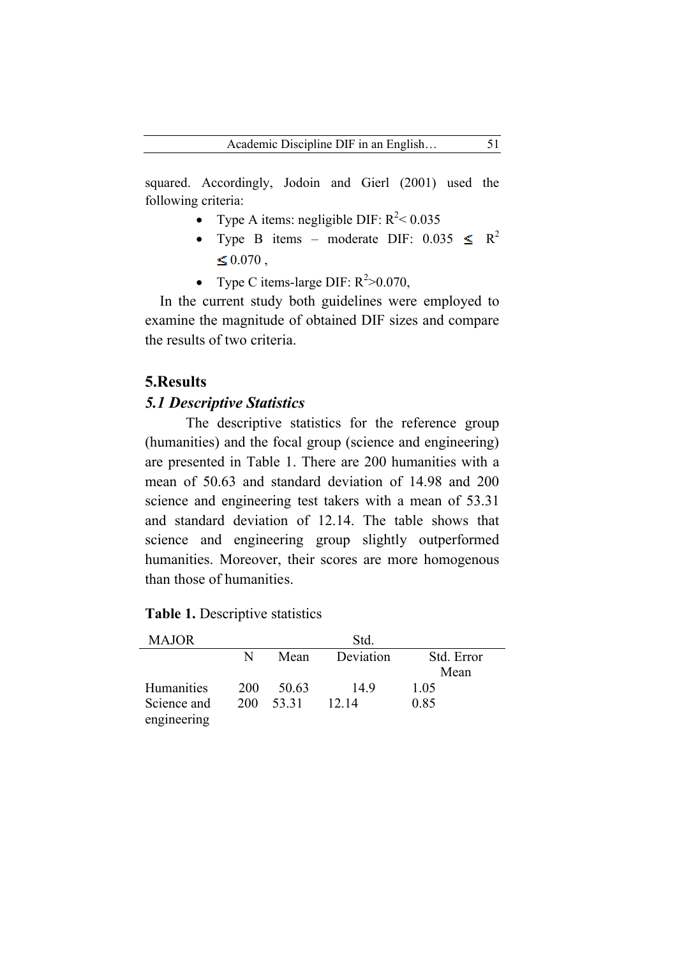squared. Accordingly, Jodoin and Gierl (2001) used the following criteria:

- Type A items: negligible DIF:  $R^2 < 0.035$
- Type B items moderate DIF:  $0.035 \leq R^2$  $\leq 0.070$ ,
- Type C items-large DIF:  $R^2 > 0.070$ ,

 In the current study both guidelines were employed to examine the magnitude of obtained DIF sizes and compare the results of two criteria.

# **5.Results**

## *5.1 Descriptive Statistics*

 The descriptive statistics for the reference group (humanities) and the focal group (science and engineering) are presented in Table 1. There are 200 humanities with a mean of 50.63 and standard deviation of 14.98 and 200 science and engineering test takers with a mean of 53.31 and standard deviation of 12.14. The table shows that science and engineering group slightly outperformed humanities. Moreover, their scores are more homogenous than those of humanities.

| <b>MAJOR</b>      |     |       | Std.      |            |
|-------------------|-----|-------|-----------|------------|
|                   | N   | Mean  | Deviation | Std. Error |
|                   |     |       |           | Mean       |
| <b>Humanities</b> | 200 | 50.63 | 149       | 1 0 5      |
| Science and       | 200 | 53.31 | 12.14     | 0.85       |
| engineering       |     |       |           |            |

|  |  | Table 1. Descriptive statistics |  |
|--|--|---------------------------------|--|
|--|--|---------------------------------|--|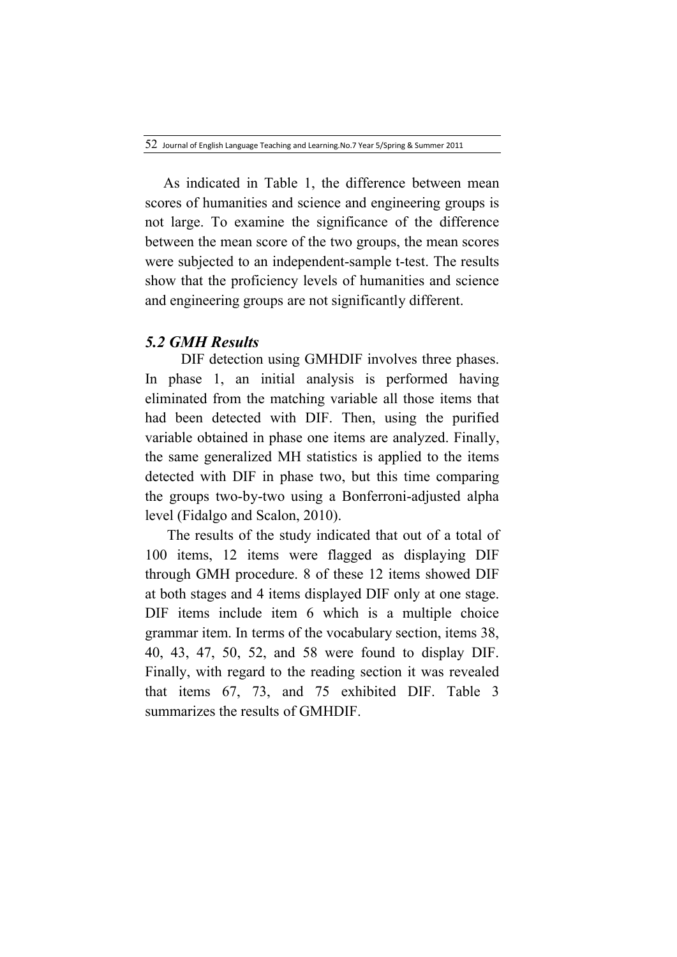As indicated in Table 1, the difference between mean scores of humanities and science and engineering groups is not large. To examine the significance of the difference between the mean score of the two groups, the mean scores were subjected to an independent-sample t-test. The results show that the proficiency levels of humanities and science and engineering groups are not significantly different.

### *5.2 GMH Results*

DIF detection using GMHDIF involves three phases. In phase 1, an initial analysis is performed having eliminated from the matching variable all those items that had been detected with DIF. Then, using the purified variable obtained in phase one items are analyzed. Finally, the same generalized MH statistics is applied to the items detected with DIF in phase two, but this time comparing the groups two-by-two using a Bonferroni-adjusted alpha level (Fidalgo and Scalon, 2010).

 The results of the study indicated that out of a total of 100 items, 12 items were flagged as displaying DIF through GMH procedure. 8 of these 12 items showed DIF at both stages and 4 items displayed DIF only at one stage. DIF items include item 6 which is a multiple choice grammar item. In terms of the vocabulary section, items 38, 40, 43, 47, 50, 52, and 58 were found to display DIF. Finally, with regard to the reading section it was revealed that items 67, 73, and 75 exhibited DIF. Table 3 summarizes the results of GMHDIF.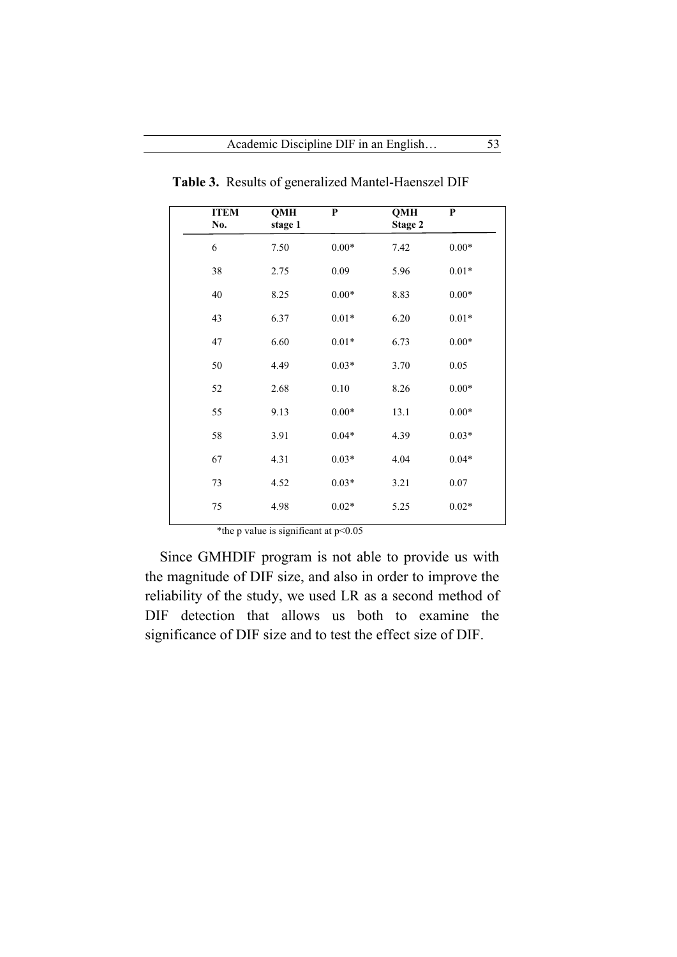| No. | <b>ITEM</b> | <b>QMH</b><br>stage 1 | $\mathbf P$ | QMH<br>Stage 2 | P        |
|-----|-------------|-----------------------|-------------|----------------|----------|
| 6   |             | 7.50                  | $0.00*$     | 7.42           | $0.00*$  |
| 38  |             | 2.75                  | 0.09        | 5.96           | $0.01*$  |
| 40  |             | 8.25                  | $0.00*$     | 8.83           | $0.00*$  |
| 43  |             | 6.37                  | $0.01*$     | 6.20           | $0.01*$  |
| 47  |             | 6.60                  | $0.01*$     | 6.73           | $0.00*$  |
| 50  |             | 4.49                  | $0.03*$     | 3.70           | 0.05     |
| 52  |             | 2.68                  | 0.10        | 8.26           | $0.00*$  |
| 55  |             | 9.13                  | $0.00*$     | 13.1           | $0.00*$  |
| 58  |             | 3.91                  | $0.04*$     | 4.39           | $0.03*$  |
| 67  |             | 4.31                  | $0.03*$     | 4.04           | $0.04*$  |
| 73  |             | 4.52                  | $0.03*$     | 3.21           | $0.07\,$ |
| 75  |             | 4.98                  | $0.02*$     | 5.25           | $0.02*$  |

 **Table 3.** Results of generalized Mantel-Haenszel DIF

\*the p value is significant at  $p$  < 0.05

 Since GMHDIF program is not able to provide us with the magnitude of DIF size, and also in order to improve the reliability of the study, we used LR as a second method of DIF detection that allows us both to examine the significance of DIF size and to test the effect size of DIF.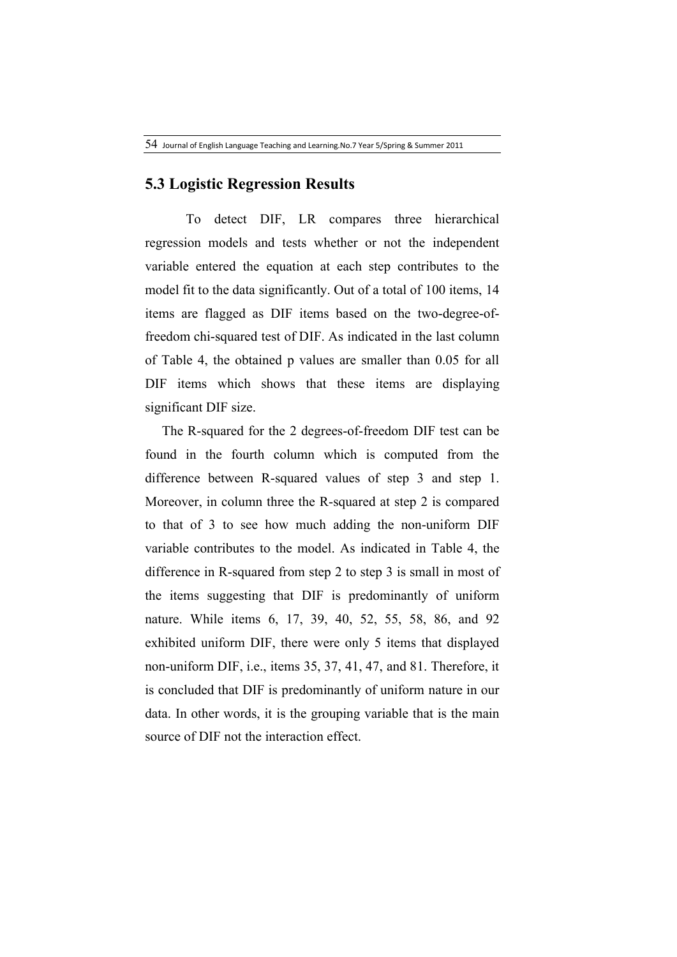### **5.3 Logistic Regression Results**

To detect DIF, LR compares three hierarchical regression models and tests whether or not the independent variable entered the equation at each step contributes to the model fit to the data significantly. Out of a total of 100 items, 14 items are flagged as DIF items based on the two-degree-offreedom chi-squared test of DIF. As indicated in the last column of Table 4, the obtained p values are smaller than 0.05 for all DIF items which shows that these items are displaying significant DIF size.

 The R-squared for the 2 degrees-of-freedom DIF test can be found in the fourth column which is computed from the difference between R-squared values of step 3 and step 1. Moreover, in column three the R-squared at step 2 is compared to that of 3 to see how much adding the non-uniform DIF variable contributes to the model. As indicated in Table 4, the difference in R-squared from step 2 to step 3 is small in most of the items suggesting that DIF is predominantly of uniform nature. While items 6, 17, 39, 40, 52, 55, 58, 86, and 92 exhibited uniform DIF, there were only 5 items that displayed non-uniform DIF, i.e., items 35, 37, 41, 47, and 81. Therefore, it is concluded that DIF is predominantly of uniform nature in our data. In other words, it is the grouping variable that is the main source of DIF not the interaction effect.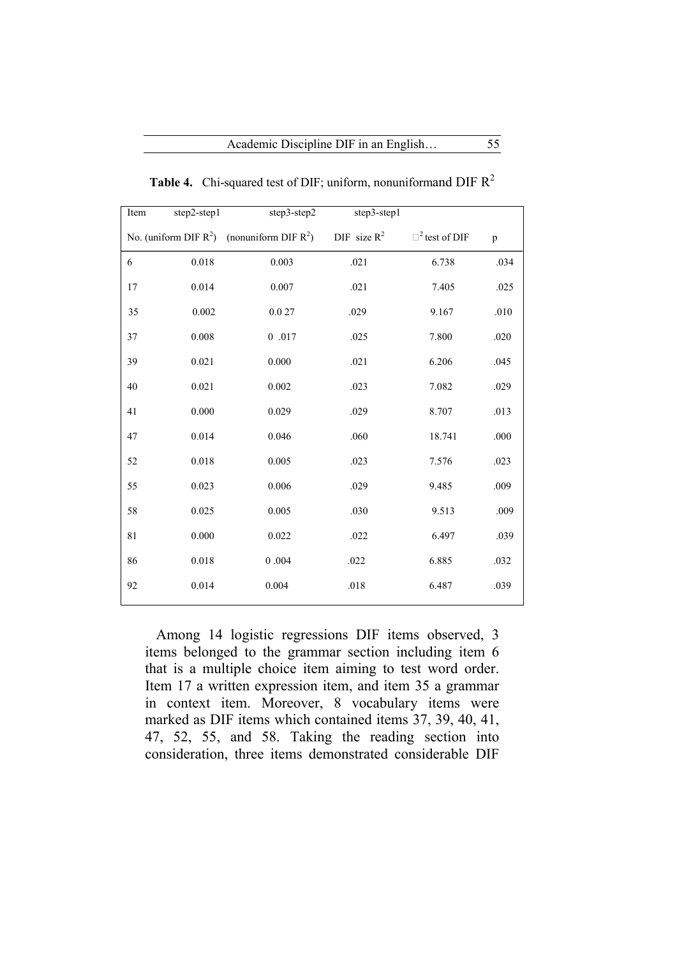| Item | step2-step1 | step3-step2                                      | step3-step1    |                      |              |
|------|-------------|--------------------------------------------------|----------------|----------------------|--------------|
|      |             | No. (uniform DIF $R^2$ ) (nonuniform DIF $R^2$ ) | DIF size $R^2$ | $\Box^2$ test of DIF | $\, {\bf p}$ |
| 6    | $0.018\,$   | 0.003                                            | .021           | 6.738                | .034         |
| 17   | 0.014       | 0.007                                            | .021           | 7.405                | .025         |
| 35   | 0.002       | 0.027                                            | .029           | 9.167                | .010         |
| 37   | 0.008       | $0\hskip 4pt .017$                               | .025           | 7.800                | .020         |
| 39   | 0.021       | 0.000                                            | .021           | 6.206                | .045         |
| 40   | 0.021       | 0.002                                            | .023           | 7.082                | .029         |
| 41   | 0.000       | 0.029                                            | .029           | 8.707                | .013         |
| 47   | 0.014       | 0.046                                            | .060           | 18.741               | $.000\,$     |
| 52   | 0.018       | 0.005                                            | .023           | 7.576                | .023         |
| 55   | 0.023       | 0.006                                            | .029           | 9.485                | .009         |
| 58   | 0.025       | 0.005                                            | .030           | 9.513                | .009         |
| 81   | 0.000       | 0.022                                            | .022           | 6.497                | .039         |
| 86   | 0.018       | $0.004\,$                                        | .022           | 6.885                | .032         |
| 92   | 0.014       | 0.004                                            | $.018\,$       | 6.487                | .039         |
|      |             |                                                  |                |                      |              |

**Table 4.** Chi-squared test of DIF; uniform, nonuniformand DIF R2

 Among 14 logistic regressions DIF items observed, 3 items belonged to the grammar section including item 6 that is a multiple choice item aiming to test word order. Item 17 a written expression item, and item 35 a grammar in context item. Moreover, 8 vocabulary items were marked as DIF items which contained items 37, 39, 40, 41, 47, 52, 55, and 58. Taking the reading section into consideration, three items demonstrated considerable DIF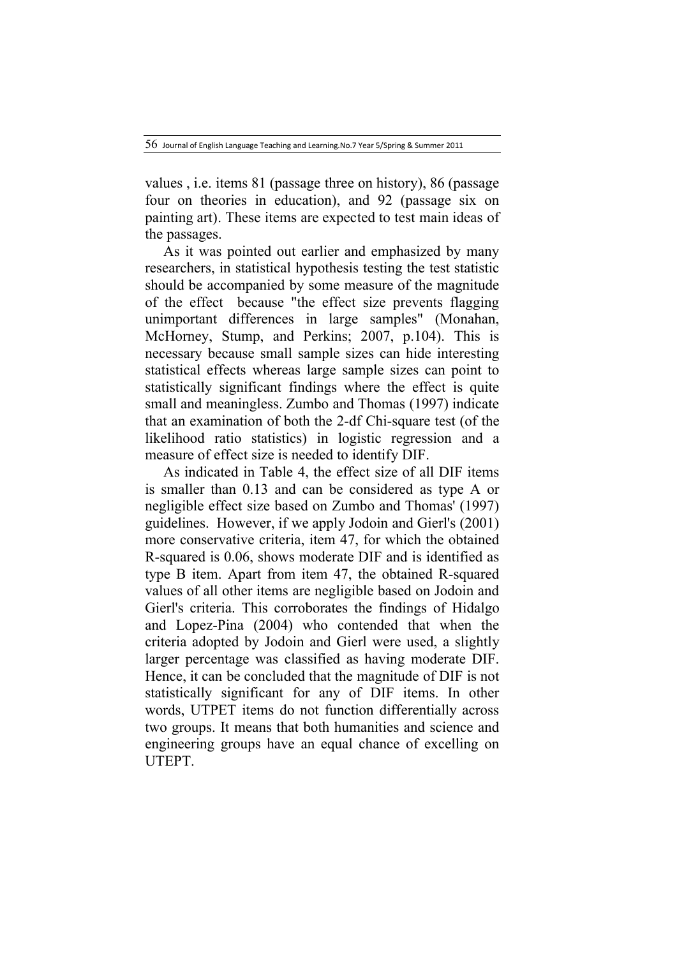values , i.e. items 81 (passage three on history), 86 (passage four on theories in education), and 92 (passage six on painting art). These items are expected to test main ideas of the passages.

 As it was pointed out earlier and emphasized by many researchers, in statistical hypothesis testing the test statistic should be accompanied by some measure of the magnitude of the effect because "the effect size prevents flagging unimportant differences in large samples" (Monahan, McHorney, Stump, and Perkins; 2007, p.104). This is necessary because small sample sizes can hide interesting statistical effects whereas large sample sizes can point to statistically significant findings where the effect is quite small and meaningless. Zumbo and Thomas (1997) indicate that an examination of both the 2-df Chi-square test (of the likelihood ratio statistics) in logistic regression and a measure of effect size is needed to identify DIF.

 As indicated in Table 4, the effect size of all DIF items is smaller than 0.13 and can be considered as type A or negligible effect size based on Zumbo and Thomas' (1997) guidelines. However, if we apply Jodoin and Gierl's (2001) more conservative criteria, item 47, for which the obtained R-squared is 0.06, shows moderate DIF and is identified as type B item. Apart from item 47, the obtained R-squared values of all other items are negligible based on Jodoin and Gierl's criteria. This corroborates the findings of Hidalgo and Lopez-Pina (2004) who contended that when the criteria adopted by Jodoin and Gierl were used, a slightly larger percentage was classified as having moderate DIF. Hence, it can be concluded that the magnitude of DIF is not statistically significant for any of DIF items. In other words, UTPET items do not function differentially across two groups. It means that both humanities and science and engineering groups have an equal chance of excelling on UTEPT.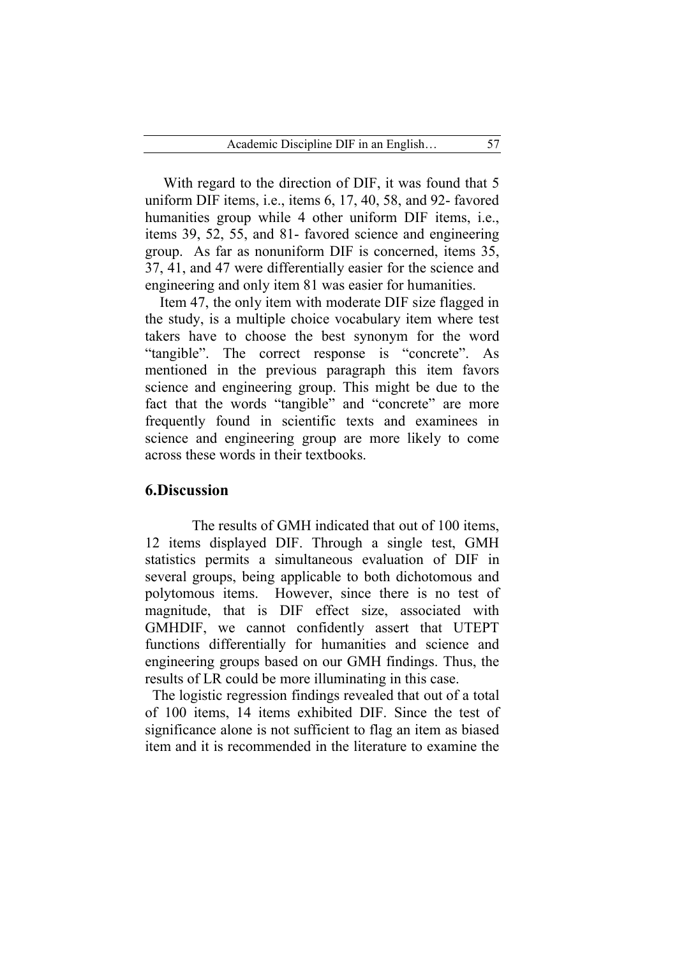With regard to the direction of DIF, it was found that 5 uniform DIF items, i.e., items 6, 17, 40, 58, and 92- favored humanities group while 4 other uniform DIF items, i.e., items 39, 52, 55, and 81- favored science and engineering group. As far as nonuniform DIF is concerned, items 35, 37, 41, and 47 were differentially easier for the science and engineering and only item 81 was easier for humanities.

 Item 47, the only item with moderate DIF size flagged in the study, is a multiple choice vocabulary item where test takers have to choose the best synonym for the word "tangible". The correct response is "concrete". As mentioned in the previous paragraph this item favors science and engineering group. This might be due to the fact that the words "tangible" and "concrete" are more frequently found in scientific texts and examinees in science and engineering group are more likely to come across these words in their textbooks.

### **6.Discussion**

 The results of GMH indicated that out of 100 items, 12 items displayed DIF. Through a single test, GMH statistics permits a simultaneous evaluation of DIF in several groups, being applicable to both dichotomous and polytomous items. However, since there is no test of magnitude, that is DIF effect size, associated with GMHDIF, we cannot confidently assert that UTEPT functions differentially for humanities and science and engineering groups based on our GMH findings. Thus, the results of LR could be more illuminating in this case.

The logistic regression findings revealed that out of a total of 100 items, 14 items exhibited DIF. Since the test of significance alone is not sufficient to flag an item as biased item and it is recommended in the literature to examine the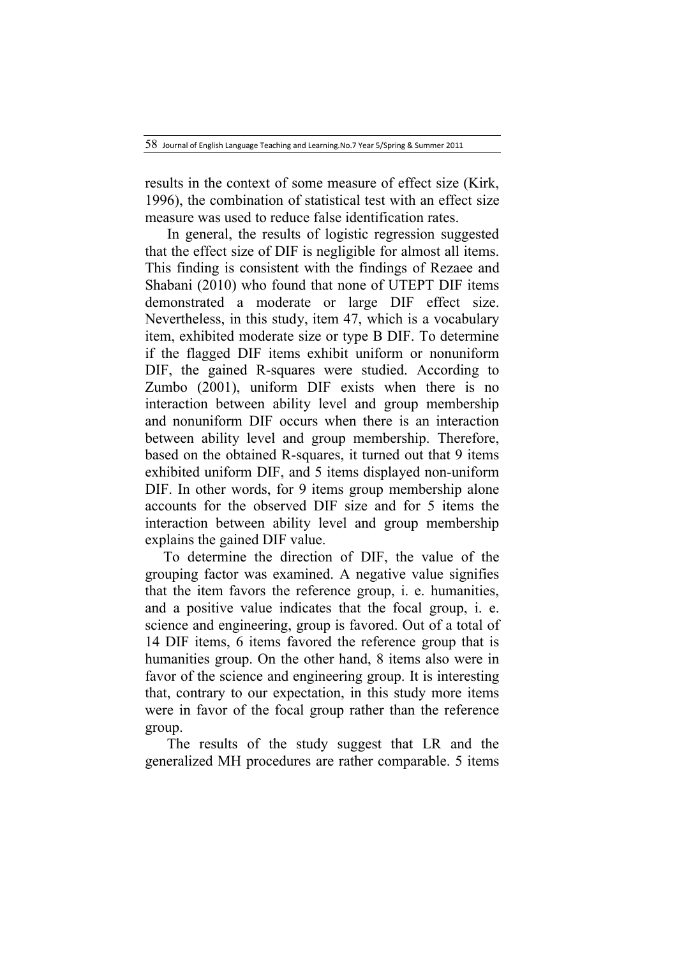results in the context of some measure of effect size (Kirk, 1996), the combination of statistical test with an effect size measure was used to reduce false identification rates.

 In general, the results of logistic regression suggested that the effect size of DIF is negligible for almost all items. This finding is consistent with the findings of Rezaee and Shabani (2010) who found that none of UTEPT DIF items demonstrated a moderate or large DIF effect size. Nevertheless, in this study, item 47, which is a vocabulary item, exhibited moderate size or type B DIF. To determine if the flagged DIF items exhibit uniform or nonuniform DIF, the gained R-squares were studied. According to Zumbo (2001), uniform DIF exists when there is no interaction between ability level and group membership and nonuniform DIF occurs when there is an interaction between ability level and group membership. Therefore, based on the obtained R-squares, it turned out that 9 items exhibited uniform DIF, and 5 items displayed non-uniform DIF. In other words, for 9 items group membership alone accounts for the observed DIF size and for 5 items the interaction between ability level and group membership explains the gained DIF value.

 To determine the direction of DIF, the value of the grouping factor was examined. A negative value signifies that the item favors the reference group, i. e. humanities, and a positive value indicates that the focal group, i. e. science and engineering, group is favored. Out of a total of 14 DIF items, 6 items favored the reference group that is humanities group. On the other hand, 8 items also were in favor of the science and engineering group. It is interesting that, contrary to our expectation, in this study more items were in favor of the focal group rather than the reference group.

 The results of the study suggest that LR and the generalized MH procedures are rather comparable. 5 items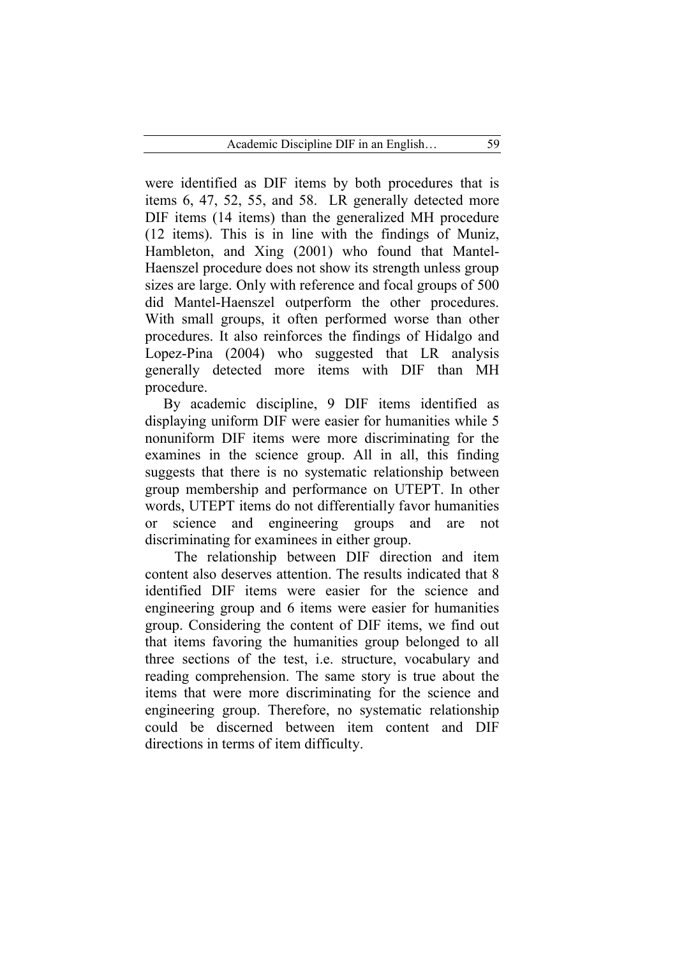were identified as DIF items by both procedures that is items 6, 47, 52, 55, and 58. LR generally detected more DIF items (14 items) than the generalized MH procedure (12 items). This is in line with the findings of Muniz, Hambleton, and Xing (2001) who found that Mantel-Haenszel procedure does not show its strength unless group sizes are large. Only with reference and focal groups of 500 did Mantel-Haenszel outperform the other procedures. With small groups, it often performed worse than other procedures. It also reinforces the findings of Hidalgo and Lopez-Pina (2004) who suggested that LR analysis generally detected more items with DIF than MH procedure.

 By academic discipline, 9 DIF items identified as displaying uniform DIF were easier for humanities while 5 nonuniform DIF items were more discriminating for the examines in the science group. All in all, this finding suggests that there is no systematic relationship between group membership and performance on UTEPT. In other words, UTEPT items do not differentially favor humanities or science and engineering groups and are not discriminating for examinees in either group.

 The relationship between DIF direction and item content also deserves attention. The results indicated that 8 identified DIF items were easier for the science and engineering group and 6 items were easier for humanities group. Considering the content of DIF items, we find out that items favoring the humanities group belonged to all three sections of the test, i.e. structure, vocabulary and reading comprehension. The same story is true about the items that were more discriminating for the science and engineering group. Therefore, no systematic relationship could be discerned between item content and DIF directions in terms of item difficulty.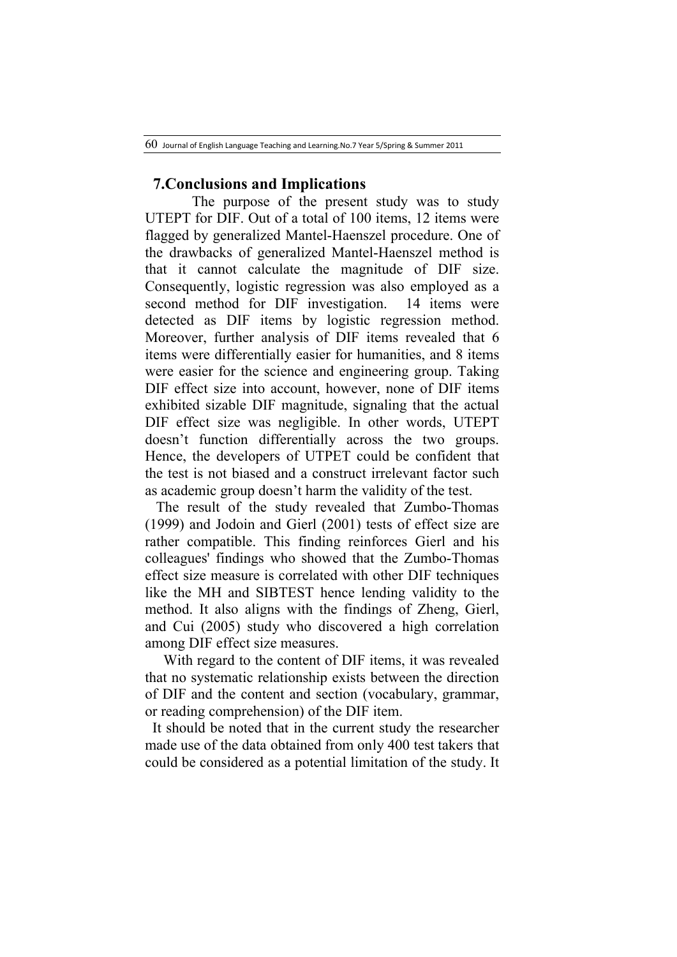### **7.Conclusions and Implications**

 The purpose of the present study was to study UTEPT for DIF. Out of a total of 100 items, 12 items were flagged by generalized Mantel-Haenszel procedure. One of the drawbacks of generalized Mantel-Haenszel method is that it cannot calculate the magnitude of DIF size. Consequently, logistic regression was also employed as a second method for DIF investigation. 14 items were detected as DIF items by logistic regression method. Moreover, further analysis of DIF items revealed that 6 items were differentially easier for humanities, and 8 items were easier for the science and engineering group. Taking DIF effect size into account, however, none of DIF items exhibited sizable DIF magnitude, signaling that the actual DIF effect size was negligible. In other words, UTEPT doesn't function differentially across the two groups. Hence, the developers of UTPET could be confident that the test is not biased and a construct irrelevant factor such as academic group doesn't harm the validity of the test.

 The result of the study revealed that Zumbo-Thomas (1999) and Jodoin and Gierl (2001) tests of effect size are rather compatible. This finding reinforces Gierl and his colleagues' findings who showed that the Zumbo-Thomas effect size measure is correlated with other DIF techniques like the MH and SIBTEST hence lending validity to the method. It also aligns with the findings of Zheng, Gierl, and Cui (2005) study who discovered a high correlation among DIF effect size measures.

 With regard to the content of DIF items, it was revealed that no systematic relationship exists between the direction of DIF and the content and section (vocabulary, grammar, or reading comprehension) of the DIF item.

It should be noted that in the current study the researcher made use of the data obtained from only 400 test takers that could be considered as a potential limitation of the study. It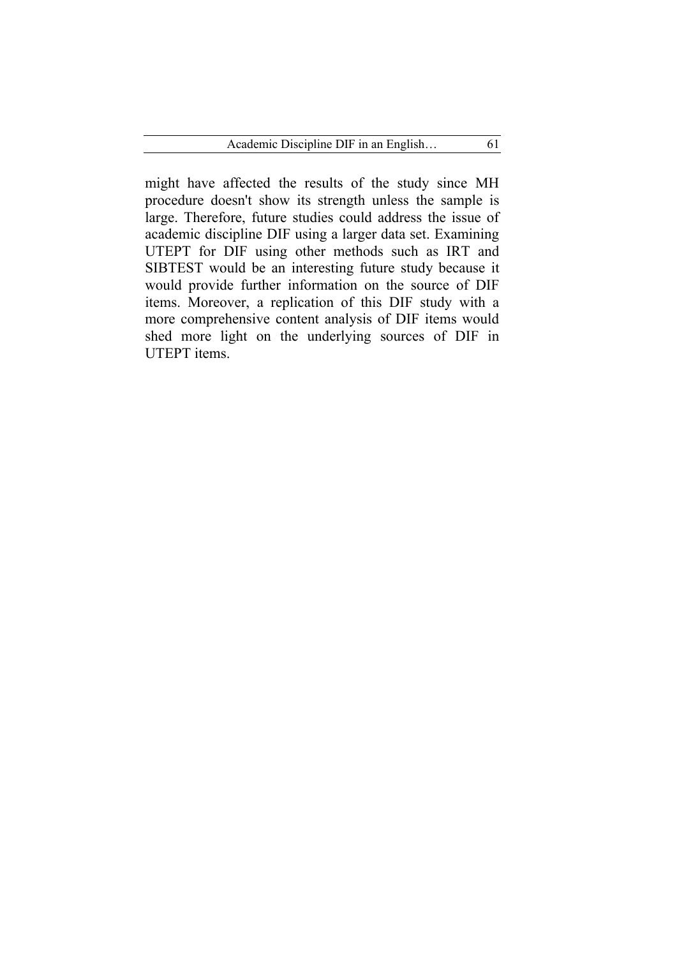might have affected the results of the study since MH procedure doesn't show its strength unless the sample is large. Therefore, future studies could address the issue of academic discipline DIF using a larger data set. Examining UTEPT for DIF using other methods such as IRT and SIBTEST would be an interesting future study because it would provide further information on the source of DIF items. Moreover, a replication of this DIF study with a more comprehensive content analysis of DIF items would shed more light on the underlying sources of DIF in UTEPT items.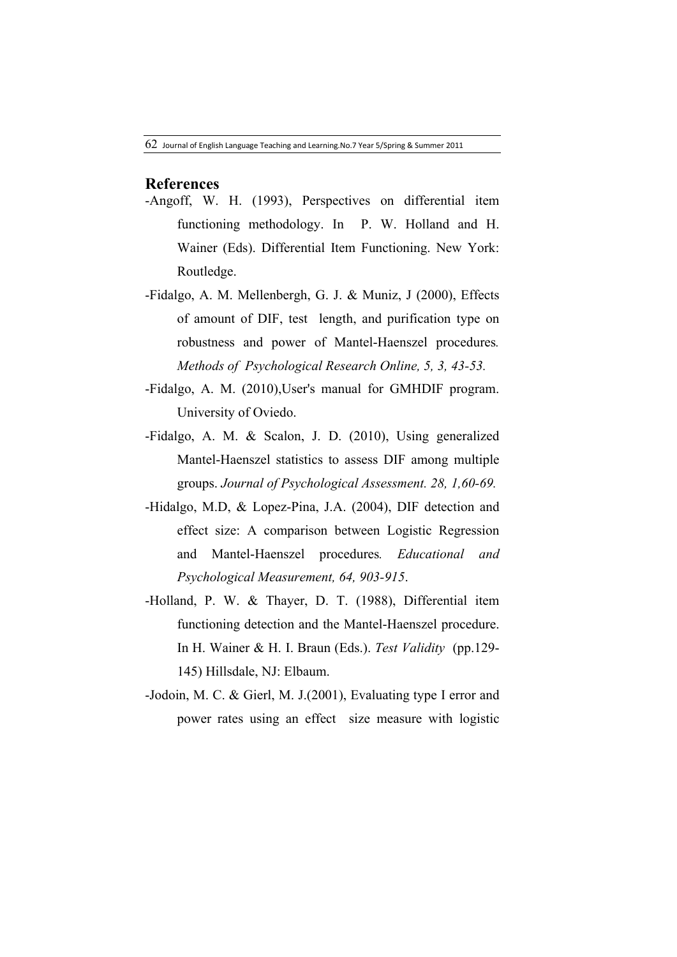## **References**

- -Angoff, W. H. (1993), Perspectives on differential item functioning methodology. In P. W. Holland and H. Wainer (Eds). Differential Item Functioning. New York: Routledge.
- -Fidalgo, A. M. Mellenbergh, G. J. & Muniz, J (2000), Effects of amount of DIF, test length, and purification type on robustness and power of Mantel-Haenszel procedures*. Methods of Psychological Research Online, 5, 3, 43-53.*
- -Fidalgo, A. M. (2010),User's manual for GMHDIF program. University of Oviedo.
- -Fidalgo, A. M. & Scalon, J. D. (2010), Using generalized Mantel-Haenszel statistics to assess DIF among multiple groups. *Journal of Psychological Assessment. 28, 1,60-69.*
- -Hidalgo, M.D, & Lopez-Pina, J.A. (2004), DIF detection and effect size: A comparison between Logistic Regression and Mantel-Haenszel procedures*. Educational and Psychological Measurement, 64, 903-915*.
- -Holland, P. W. & Thayer, D. T. (1988), Differential item functioning detection and the Mantel-Haenszel procedure. In H. Wainer & H. I. Braun (Eds.). *Test Validity* (pp.129- 145) Hillsdale, NJ: Elbaum.
- -Jodoin, M. C. & Gierl, M. J.(2001), Evaluating type I error and power rates using an effect size measure with logistic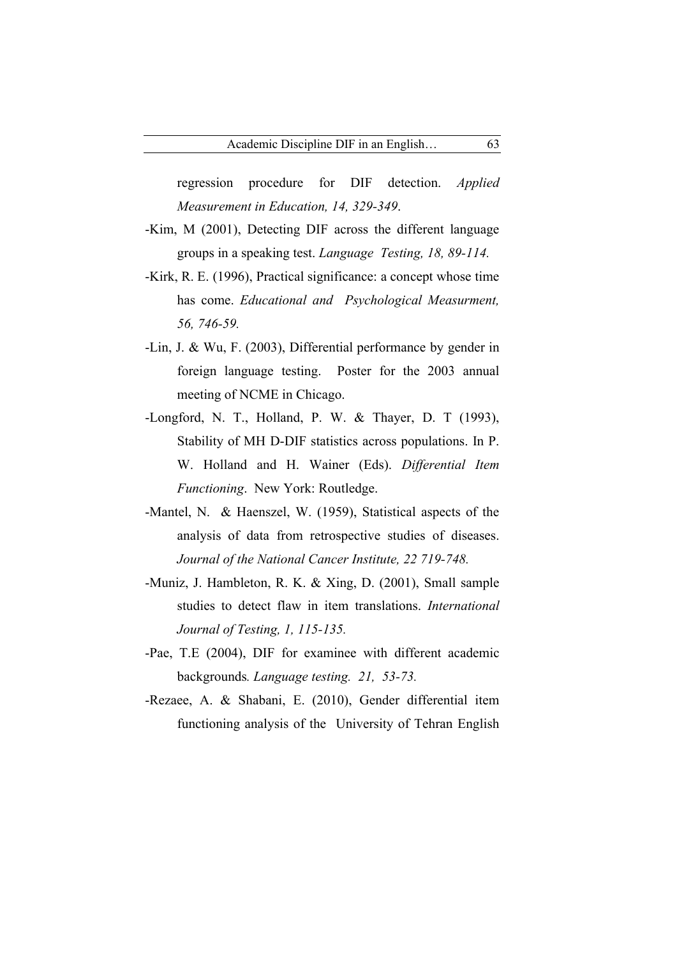regression procedure for DIF detection. *Applied Measurement in Education, 14, 329-349*.

- -Kim, M (2001), Detecting DIF across the different language groups in a speaking test. *Language Testing, 18, 89-114.*
- -Kirk, R. E. (1996), Practical significance: a concept whose time has come. *Educational and Psychological Measurment, 56, 746-59.*
- -Lin, J. & Wu, F. (2003), Differential performance by gender in foreign language testing. Poster for the 2003 annual meeting of NCME in Chicago.
- -Longford, N. T., Holland, P. W. & Thayer, D. T (1993), Stability of MH D-DIF statistics across populations. In P. W. Holland and H. Wainer (Eds). *Differential Item Functioning*. New York: Routledge.
- -Mantel, N. & Haenszel, W. (1959), Statistical aspects of the analysis of data from retrospective studies of diseases. *Journal of the National Cancer Institute, 22 719-748.*
- -Muniz, J. Hambleton, R. K. & Xing, D. (2001), Small sample studies to detect flaw in item translations. *International Journal of Testing, 1, 115-135.*
- -Pae, T.E (2004), DIF for examinee with different academic backgrounds*. Language testing. 21, 53-73.*
- -Rezaee, A. & Shabani, E. (2010), Gender differential item functioning analysis of the University of Tehran English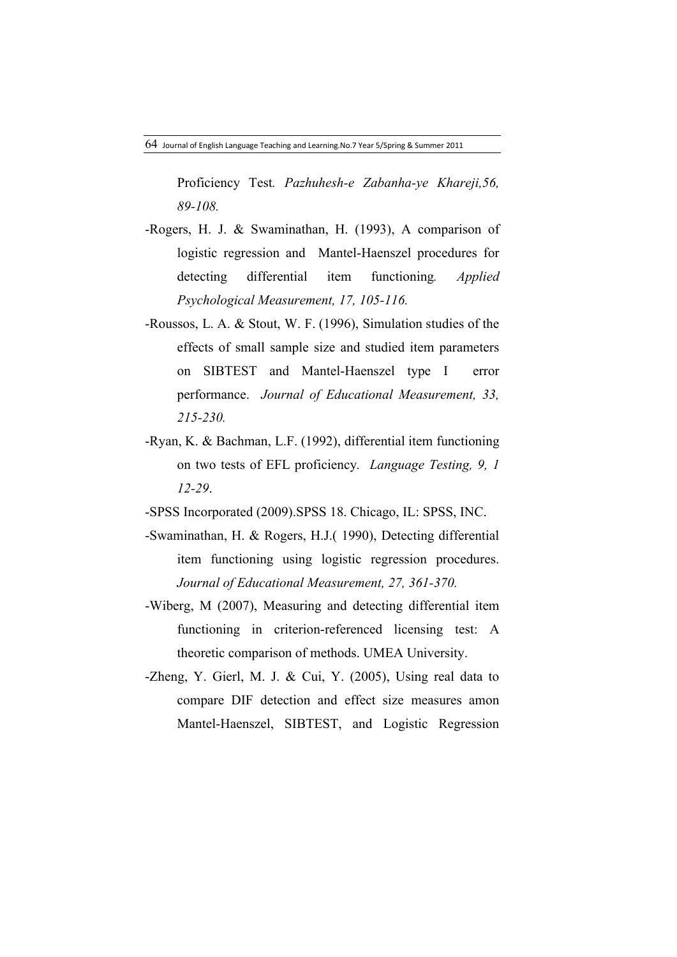Proficiency Test*. Pazhuhesh-e Zabanha-ye Khareji,56, 89-108.*

- -Rogers, H. J. & Swaminathan, H. (1993), A comparison of logistic regression and Mantel-Haenszel procedures for detecting differential item functioning*. Applied Psychological Measurement, 17, 105-116.*
- -Roussos, L. A. & Stout, W. F. (1996), Simulation studies of the effects of small sample size and studied item parameters on SIBTEST and Mantel-Haenszel type I error performance. *Journal of Educational Measurement, 33, 215-230.*
- -Ryan, K. & Bachman, L.F. (1992), differential item functioning on two tests of EFL proficiency*. Language Testing, 9, 1 12-29*.
- -SPSS Incorporated (2009).SPSS 18. Chicago, IL: SPSS, INC.
- -Swaminathan, H. & Rogers, H.J.( 1990), Detecting differential item functioning using logistic regression procedures. *Journal of Educational Measurement, 27, 361-370.*
- -Wiberg, M (2007), Measuring and detecting differential item functioning in criterion-referenced licensing test: A theoretic comparison of methods. UMEA University.
- -Zheng, Y. Gierl, M. J. & Cui, Y. (2005), Using real data to compare DIF detection and effect size measures amon Mantel-Haenszel, SIBTEST, and Logistic Regression